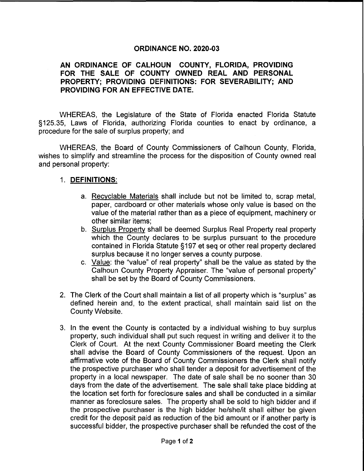## **ORDINANCE NO. 2020-03**

## **AN ORDINANCE OF CALHOUN COUNTY, FLORIDA, PROVIDING FOR THE SALE OF COUNTY OWNED REAL AND PERSONAL PROPERTY; PROVIDING DEFINITIONS: FOR SEVERABILITY; AND PROVIDING FOR AN EFFECTIVE DATE.**

WHEREAS, the Legislature of the State of Florida enacted Florida Statute §125.35, Laws of Florida, authorizing Florida counties to enact by ordinance, a procedure for the sale of surplus property; and

WHEREAS, the Board of County Commissioners of Calhoun County, Florida, wishes to simplify and streamline the process for the disposition of County owned real and personal property:

## 1. **DEFINITIONS:**

- a. Recyclable Materials shall include but not be limited to, scrap metal, paper, cardboard or other materials whose only value is based on the value of the material rather than as a piece of equipment, machinery or other similar items;
- b. Surplus Property shall be deemed Surplus Real Property real property which the County declares to be surplus pursuant to the procedure contained in Florida Statute §197 et seq or other real property declared surplus because it no longer serves a county purpose.
- c. Value: the "value" of real property" shall be the value as stated by the Calhoun County Property Appraiser. The "value of personal property" shall be set by the Board of County Commissioners.
- 2. The Clerk of the Court shall maintain a list of all property which is "surplus" as defined herein and, to the extent practical, shall maintain said list on the County Website.
- 3. In the event the County is contacted by a individual wishing to buy surplus property, such individual shall put such request in writing and deliver it to the Clerk of Court. At the next County Commissioner Board meeting the Clerk shall advise the Board of County Commissioners of the request. Upon an affirmative vote of the Board of County Commissioners the Clerk shall notify the prospective purchaser who shall tender a deposit for advertisement of the property in a local newspaper. The date of sale shall be no sooner than 30 days from the date of the advertisement. The sale shall take place bidding at the location set forth for foreclosure sales and shall be conducted in a similar manner as foreclosure sales. The property shall be sold to high bidder and if the prospective purchaser is the high bidder he/she/it shall either be given credit for the deposit paid as reduction of the bid amount or if another party is successful bidder, the prospective purchaser shall be refunded the cost of the